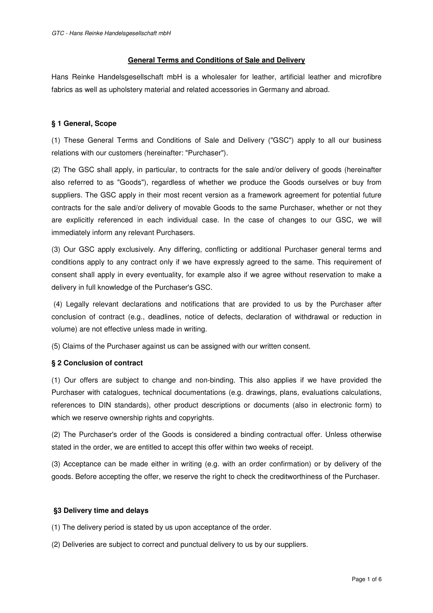# **General Terms and Conditions of Sale and Delivery**

Hans Reinke Handelsgesellschaft mbH is a wholesaler for leather, artificial leather and microfibre fabrics as well as upholstery material and related accessories in Germany and abroad.

# **§ 1 General, Scope**

(1) These General Terms and Conditions of Sale and Delivery ("GSC") apply to all our business relations with our customers (hereinafter: "Purchaser").

(2) The GSC shall apply, in particular, to contracts for the sale and/or delivery of goods (hereinafter also referred to as "Goods"), regardless of whether we produce the Goods ourselves or buy from suppliers. The GSC apply in their most recent version as a framework agreement for potential future contracts for the sale and/or delivery of movable Goods to the same Purchaser, whether or not they are explicitly referenced in each individual case. In the case of changes to our GSC, we will immediately inform any relevant Purchasers.

(3) Our GSC apply exclusively. Any differing, conflicting or additional Purchaser general terms and conditions apply to any contract only if we have expressly agreed to the same. This requirement of consent shall apply in every eventuality, for example also if we agree without reservation to make a delivery in full knowledge of the Purchaser's GSC.

 (4) Legally relevant declarations and notifications that are provided to us by the Purchaser after conclusion of contract (e.g., deadlines, notice of defects, declaration of withdrawal or reduction in volume) are not effective unless made in writing.

(5) Claims of the Purchaser against us can be assigned with our written consent.

# **§ 2 Conclusion of contract**

(1) Our offers are subject to change and non-binding. This also applies if we have provided the Purchaser with catalogues, technical documentations (e.g. drawings, plans, evaluations calculations, references to DIN standards), other product descriptions or documents (also in electronic form) to which we reserve ownership rights and copyrights.

(2) The Purchaser's order of the Goods is considered a binding contractual offer. Unless otherwise stated in the order, we are entitled to accept this offer within two weeks of receipt.

(3) Acceptance can be made either in writing (e.g. with an order confirmation) or by delivery of the goods. Before accepting the offer, we reserve the right to check the creditworthiness of the Purchaser.

# **§3 Delivery time and delays**

(1) The delivery period is stated by us upon acceptance of the order.

(2) Deliveries are subject to correct and punctual delivery to us by our suppliers.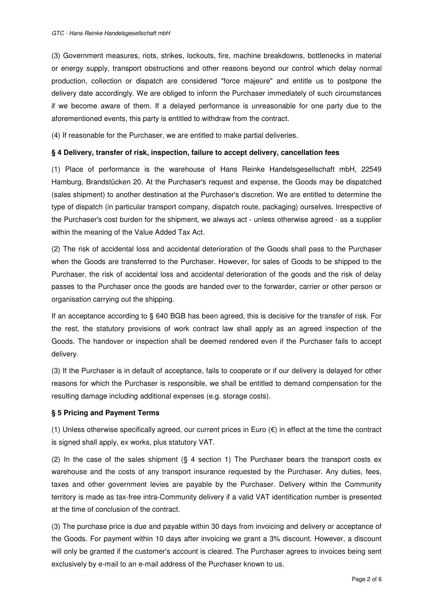(3) Government measures, riots, strikes, lockouts, fire, machine breakdowns, bottlenecks in material or energy supply, transport obstructions and other reasons beyond our control which delay normal production, collection or dispatch are considered "force majeure" and entitle us to postpone the delivery date accordingly. We are obliged to inform the Purchaser immediately of such circumstances if we become aware of them. If a delayed performance is unreasonable for one party due to the aforementioned events, this party is entitled to withdraw from the contract.

(4) If reasonable for the Purchaser, we are entitled to make partial deliveries.

#### **§ 4 Delivery, transfer of risk, inspection, failure to accept delivery, cancellation fees**

(1) Place of performance is the warehouse of Hans Reinke Handelsgesellschaft mbH, 22549 Hamburg, Brandstücken 20. At the Purchaser's request and expense, the Goods may be dispatched (sales shipment) to another destination at the Purchaser's discretion. We are entitled to determine the type of dispatch (in particular transport company, dispatch route, packaging) ourselves. Irrespective of the Purchaser's cost burden for the shipment, we always act - unless otherwise agreed - as a supplier within the meaning of the Value Added Tax Act.

(2) The risk of accidental loss and accidental deterioration of the Goods shall pass to the Purchaser when the Goods are transferred to the Purchaser. However, for sales of Goods to be shipped to the Purchaser, the risk of accidental loss and accidental deterioration of the goods and the risk of delay passes to the Purchaser once the goods are handed over to the forwarder, carrier or other person or organisation carrying out the shipping.

If an acceptance according to § 640 BGB has been agreed, this is decisive for the transfer of risk. For the rest, the statutory provisions of work contract law shall apply as an agreed inspection of the Goods. The handover or inspection shall be deemed rendered even if the Purchaser fails to accept delivery.

(3) If the Purchaser is in default of acceptance, fails to cooperate or if our delivery is delayed for other reasons for which the Purchaser is responsible, we shall be entitled to demand compensation for the resulting damage including additional expenses (e.g. storage costs).

# **§ 5 Pricing and Payment Terms**

(1) Unless otherwise specifically agreed, our current prices in Euro  $(\epsilon)$  in effect at the time the contract is signed shall apply, ex works, plus statutory VAT.

(2) In the case of the sales shipment (§ 4 section 1) The Purchaser bears the transport costs ex warehouse and the costs of any transport insurance requested by the Purchaser. Any duties, fees, taxes and other government levies are payable by the Purchaser. Delivery within the Community territory is made as tax-free intra-Community delivery if a valid VAT identification number is presented at the time of conclusion of the contract.

(3) The purchase price is due and payable within 30 days from invoicing and delivery or acceptance of the Goods. For payment within 10 days after invoicing we grant a 3% discount. However, a discount will only be granted if the customer's account is cleared. The Purchaser agrees to invoices being sent exclusively by e-mail to an e-mail address of the Purchaser known to us.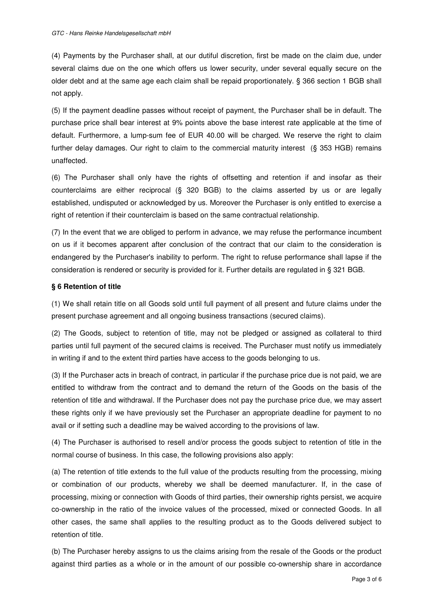(4) Payments by the Purchaser shall, at our dutiful discretion, first be made on the claim due, under several claims due on the one which offers us lower security, under several equally secure on the older debt and at the same age each claim shall be repaid proportionately. § 366 section 1 BGB shall not apply.

(5) If the payment deadline passes without receipt of payment, the Purchaser shall be in default. The purchase price shall bear interest at 9% points above the base interest rate applicable at the time of default. Furthermore, a lump-sum fee of EUR 40.00 will be charged. We reserve the right to claim further delay damages. Our right to claim to the commercial maturity interest (§ 353 HGB) remains unaffected.

(6) The Purchaser shall only have the rights of offsetting and retention if and insofar as their counterclaims are either reciprocal (§ 320 BGB) to the claims asserted by us or are legally established, undisputed or acknowledged by us. Moreover the Purchaser is only entitled to exercise a right of retention if their counterclaim is based on the same contractual relationship.

(7) In the event that we are obliged to perform in advance, we may refuse the performance incumbent on us if it becomes apparent after conclusion of the contract that our claim to the consideration is endangered by the Purchaser's inability to perform. The right to refuse performance shall lapse if the consideration is rendered or security is provided for it. Further details are regulated in § 321 BGB.

# **§ 6 Retention of title**

(1) We shall retain title on all Goods sold until full payment of all present and future claims under the present purchase agreement and all ongoing business transactions (secured claims).

(2) The Goods, subject to retention of title, may not be pledged or assigned as collateral to third parties until full payment of the secured claims is received. The Purchaser must notify us immediately in writing if and to the extent third parties have access to the goods belonging to us.

(3) If the Purchaser acts in breach of contract, in particular if the purchase price due is not paid, we are entitled to withdraw from the contract and to demand the return of the Goods on the basis of the retention of title and withdrawal. If the Purchaser does not pay the purchase price due, we may assert these rights only if we have previously set the Purchaser an appropriate deadline for payment to no avail or if setting such a deadline may be waived according to the provisions of law.

(4) The Purchaser is authorised to resell and/or process the goods subject to retention of title in the normal course of business. In this case, the following provisions also apply:

(a) The retention of title extends to the full value of the products resulting from the processing, mixing or combination of our products, whereby we shall be deemed manufacturer. If, in the case of processing, mixing or connection with Goods of third parties, their ownership rights persist, we acquire co-ownership in the ratio of the invoice values of the processed, mixed or connected Goods. In all other cases, the same shall applies to the resulting product as to the Goods delivered subject to retention of title.

(b) The Purchaser hereby assigns to us the claims arising from the resale of the Goods or the product against third parties as a whole or in the amount of our possible co-ownership share in accordance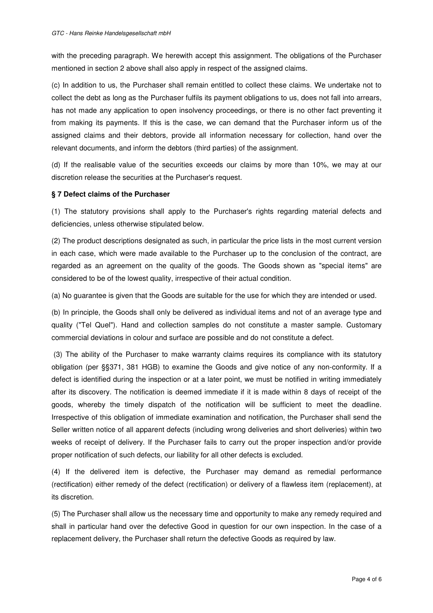with the preceding paragraph. We herewith accept this assignment. The obligations of the Purchaser mentioned in section 2 above shall also apply in respect of the assigned claims.

(c) In addition to us, the Purchaser shall remain entitled to collect these claims. We undertake not to collect the debt as long as the Purchaser fulfils its payment obligations to us, does not fall into arrears, has not made any application to open insolvency proceedings, or there is no other fact preventing it from making its payments. If this is the case, we can demand that the Purchaser inform us of the assigned claims and their debtors, provide all information necessary for collection, hand over the relevant documents, and inform the debtors (third parties) of the assignment.

(d) If the realisable value of the securities exceeds our claims by more than 10%, we may at our discretion release the securities at the Purchaser's request.

# **§ 7 Defect claims of the Purchaser**

(1) The statutory provisions shall apply to the Purchaser's rights regarding material defects and deficiencies, unless otherwise stipulated below.

(2) The product descriptions designated as such, in particular the price lists in the most current version in each case, which were made available to the Purchaser up to the conclusion of the contract, are regarded as an agreement on the quality of the goods. The Goods shown as "special items" are considered to be of the lowest quality, irrespective of their actual condition.

(a) No guarantee is given that the Goods are suitable for the use for which they are intended or used.

(b) In principle, the Goods shall only be delivered as individual items and not of an average type and quality ("Tel Quel"). Hand and collection samples do not constitute a master sample. Customary commercial deviations in colour and surface are possible and do not constitute a defect.

 (3) The ability of the Purchaser to make warranty claims requires its compliance with its statutory obligation (per §§371, 381 HGB) to examine the Goods and give notice of any non-conformity. If a defect is identified during the inspection or at a later point, we must be notified in writing immediately after its discovery. The notification is deemed immediate if it is made within 8 days of receipt of the goods, whereby the timely dispatch of the notification will be sufficient to meet the deadline. Irrespective of this obligation of immediate examination and notification, the Purchaser shall send the Seller written notice of all apparent defects (including wrong deliveries and short deliveries) within two weeks of receipt of delivery. If the Purchaser fails to carry out the proper inspection and/or provide proper notification of such defects, our liability for all other defects is excluded.

(4) If the delivered item is defective, the Purchaser may demand as remedial performance (rectification) either remedy of the defect (rectification) or delivery of a flawless item (replacement), at its discretion.

(5) The Purchaser shall allow us the necessary time and opportunity to make any remedy required and shall in particular hand over the defective Good in question for our own inspection. In the case of a replacement delivery, the Purchaser shall return the defective Goods as required by law.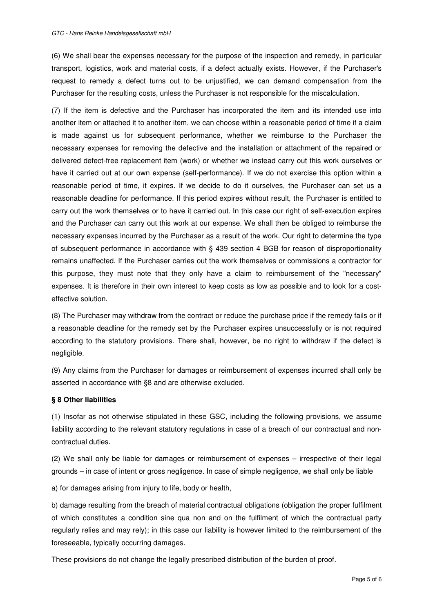(6) We shall bear the expenses necessary for the purpose of the inspection and remedy, in particular transport, logistics, work and material costs, if a defect actually exists. However, if the Purchaser's request to remedy a defect turns out to be unjustified, we can demand compensation from the Purchaser for the resulting costs, unless the Purchaser is not responsible for the miscalculation.

(7) If the item is defective and the Purchaser has incorporated the item and its intended use into another item or attached it to another item, we can choose within a reasonable period of time if a claim is made against us for subsequent performance, whether we reimburse to the Purchaser the necessary expenses for removing the defective and the installation or attachment of the repaired or delivered defect-free replacement item (work) or whether we instead carry out this work ourselves or have it carried out at our own expense (self-performance). If we do not exercise this option within a reasonable period of time, it expires. If we decide to do it ourselves, the Purchaser can set us a reasonable deadline for performance. If this period expires without result, the Purchaser is entitled to carry out the work themselves or to have it carried out. In this case our right of self-execution expires and the Purchaser can carry out this work at our expense. We shall then be obliged to reimburse the necessary expenses incurred by the Purchaser as a result of the work. Our right to determine the type of subsequent performance in accordance with § 439 section 4 BGB for reason of disproportionality remains unaffected. If the Purchaser carries out the work themselves or commissions a contractor for this purpose, they must note that they only have a claim to reimbursement of the "necessary" expenses. It is therefore in their own interest to keep costs as low as possible and to look for a costeffective solution.

(8) The Purchaser may withdraw from the contract or reduce the purchase price if the remedy fails or if a reasonable deadline for the remedy set by the Purchaser expires unsuccessfully or is not required according to the statutory provisions. There shall, however, be no right to withdraw if the defect is negligible.

(9) Any claims from the Purchaser for damages or reimbursement of expenses incurred shall only be asserted in accordance with §8 and are otherwise excluded.

# **§ 8 Other liabilities**

(1) Insofar as not otherwise stipulated in these GSC, including the following provisions, we assume liability according to the relevant statutory regulations in case of a breach of our contractual and noncontractual duties.

(2) We shall only be liable for damages or reimbursement of expenses – irrespective of their legal grounds – in case of intent or gross negligence. In case of simple negligence, we shall only be liable

a) for damages arising from injury to life, body or health,

b) damage resulting from the breach of material contractual obligations (obligation the proper fulfilment of which constitutes a condition sine qua non and on the fulfilment of which the contractual party regularly relies and may rely); in this case our liability is however limited to the reimbursement of the foreseeable, typically occurring damages.

These provisions do not change the legally prescribed distribution of the burden of proof.